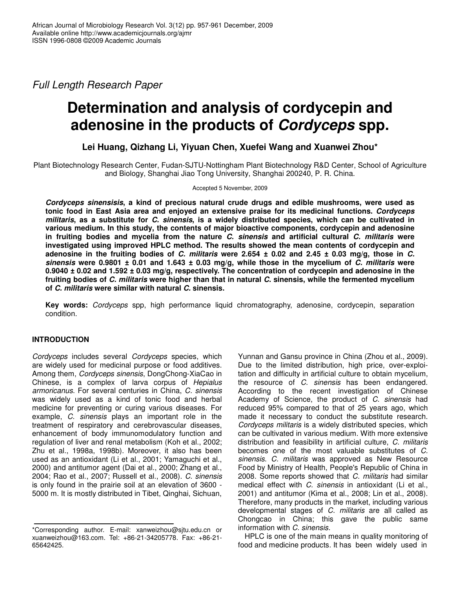*Full Length Research Paper*

# **Determination and analysis of cordycepin and adenosine in the products of** *Cordyceps* **spp.**

**Lei Huang, Qizhang Li, Yiyuan Chen, Xuefei Wang and Xuanwei Zhou\***

Plant Biotechnology Research Center, Fudan-SJTU-Nottingham Plant Biotechnology R&D Center, School of Agriculture and Biology, Shanghai Jiao Tong University, Shanghai 200240, P. R. China.

## Accepted 5 November, 2009

*Cordyceps sinensisis***, a kind of precious natural crude drugs and edible mushrooms, were used as tonic food in East Asia area and enjoyed an extensive praise for its medicinal functions.** *Cordyceps* militaris, as a substitute for C. sinensis, is a widely distributed species, which can be cultivated in **various medium. In this study, the contents of major bioactive components, cordycepin and adenosine in fruiting bodies and mycelia from the nature** *C. sinensis* **and artificial cultural** *C. militaris* **were investigated using improved HPLC method. The results showed the mean contents of cordycepin and** adenosine in the fruiting bodies of C. militaris were 2.654  $\pm$  0.02 and 2.45  $\pm$  0.03 mg/g, those in C. sinensis were 0.9801  $\pm$  0.01 and 1.643  $\pm$  0.03 mg/g, while those in the mycelium of C. militaris were **0.9040 ± 0.02 and 1.592 ± 0.03 mg/g, respectively. The concentration of cordycepin and adenosine in the** fruiting bodies of C. militaris were higher than that in natural C. sinensis, while the fermented mycelium **of** *C. militaris* **were similar with natural** *C.* **sinensis.**

**Key words:** *Cordyceps* spp, high performance liquid chromatography, adenosine, cordycepin, separation condition.

# **INTRODUCTION**

*Cordyceps* includes several *Cordyceps* species, which are widely used for medicinal purpose or food additives. Among them, *Cordyceps sinensis*, DongChong-XiaCao in Chinese, is a complex of larva corpus of *Hepialus armoricanus*. For several centuries in China, *C. sinensis* was widely used as a kind of tonic food and herbal medicine for preventing or curing various diseases. For example, *C. sinensis* plays an important role in the treatment of respiratory and cerebrovascular diseases, enhancement of body immunomodulatory function and regulation of liver and renal metabolism (Koh et al., 2002; Zhu et al., 1998a, 1998b). Moreover, it also has been used as an antioxidant (Li et al., 2001; Yamaguchi et al., 2000) and antitumor agent (Dai et al., 2000; Zhang et al., 2004; Rao et al., 2007; Russell et al., 2008). *C. sinensis* is only found in the prairie soil at an elevation of 3600 - 5000 m. It is mostly distributed in Tibet, Qinghai, Sichuan,

Yunnan and Gansu province in China (Zhou et al., 2009). Due to the limited distribution, high price, over-exploitation and difficulty in artificial culture to obtain mycelium, the resource of *C. sinensis* has been endangered. According to the recent investigation of Chinese Academy of Science, the product of *C. sinensis* had reduced 95% compared to that of 25 years ago, which made it necessary to conduct the substitute research. *Cordyceps militaris* is a widely distributed species, which can be cultivated in various medium. With more extensive distribution and feasibility in artificial culture, *C. militaris* becomes one of the most valuable substitutes of *C. sinensis*. *C. militaris* was approved as New Resource Food by Ministry of Health, People's Republic of China in 2008. Some reports showed that *C. militaris* had similar medical effect with *C. sinensis* in antioxidant (Li et al., 2001) and antitumor (Kima et al., 2008; Lin et al., 2008). Therefore, many products in the market, including various developmental stages of *C. militaris* are all called as Chongcao in China; this gave the public same information with *C. sinensis*.

HPLC is one of the main means in quality monitoring of food and medicine products. It has been widely used in

<sup>\*</sup>Corresponding author. E-mail: xanweizhou@sjtu.edu.cn or xuanweizhou@163.com. Tel: +86-21-34205778. Fax: +86-21- 65642425.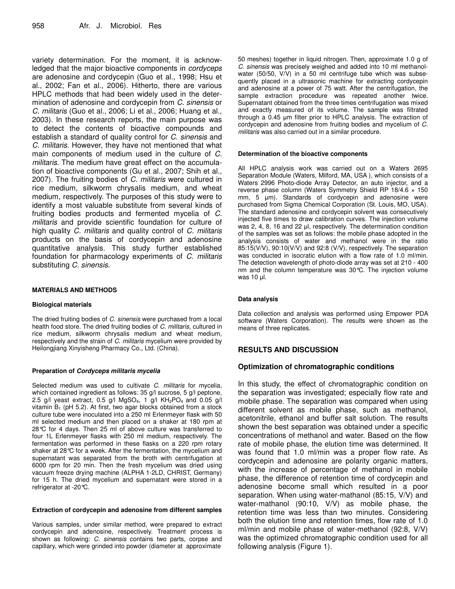variety determination. For the moment, it is acknowledged that the major bioactive components in *cordyceps* are adenosine and cordycepin (Guo et al., 1998; Hsu et al., 2002; Fan et al., 2006). Hitherto, there are various HPLC methods that had been widely used in the determination of adenosine and cordycepin from *C. sinensis* or *C. militaris* (Guo et al., 2006; Li et al., 2006; Huang et al., 2003). In these research reports, the main purpose was to detect the contents of bioactive compounds and establish a standard of quality control for *C. sinensis* and *C. militaris.* However, they have not mentioned that what main components of medium used in the culture of *C. militaris*. The medium have great effect on the accumulation of bioactive components (Gu et al., 2007; Shih et al., 2007). The fruiting bodies of *C. militaris* were cultured in rice medium, silkworm chrysalis medium, and wheat medium, respectively. The purposes of this study were to identify a most valuable substitute from several kinds of fruiting bodies products and fermented mycelia of *C. militaris* and provide scientific foundation for culture of high quality *C. militaris* and quality control of *C. militaris* products on the basis of cordycepin and adenosine quantitative analysis. This study further established foundation for pharmacology experiments of *C. militaris* substituting *C. sinensis*.

#### **MATERIALS AND METHODS**

#### **Biological materials**

The dried fruiting bodies of *C. sinensis* were purchased from a local health food store. The dried fruiting bodies of *C. militaris*, cultured in rice medium, silkworm chrysalis medium and wheat medium, respectively and the strain of *C. militaris* mycelium were provided by Heilongjiang Xinyisheng Pharmacy Co., Ltd. (China).

#### **Preparation of** *Cordyceps militaris mycelia*

Selected medium was used to cultivate *C. militaris* for mycelia, which contained ingredient as follows: 35 g/l sucrose, 5 g/l peptone, 2.5 g/l yeast extract, 0.5 g/l MgSO<sub>4</sub>, 1 g/l KH<sub>2</sub>PO<sub>4</sub> and 0.05 g/l vitamin  $B_1$  (pH 5.2). At first, two agar blocks obtained from a stock culture tube were inoculated into a 250 ml Erlenmeyer flask with 50 ml selected medium and then placed on a shaker at 180 rpm at 28°C for 4 days. Then 25 ml of above culture was transferred to four 1L Erlenmeyer flasks with 250 ml medium, respectively. The fermentation was performed in these flasks on a 220 rpm rotary shaker at 28°C for a week. After the fermentation, the mycelium and supernatant was separated from the broth with centrifugation at 6000 rpm for 20 min. Then the fresh mycelium was dried using vacuum freeze drying machine (ALPHA 1-2LD, CHRIST, Germany) for 15 h. The dried mycelium and supernatant were stored in a refrigerator at -20°C.

#### **Extraction of cordycepin and adenosine from different samples**

Various samples, under similar method, were prepared to extract cordycepin and adenosine, respectively. Treatment process is shown as following: *C. sinensis* contains two parts, corpse and capillary, which were grinded into powder (diameter at approximate

50 meshes) together in liquid nitrogen. Then, approximate 1.0 g of *C. sinensis* was precisely weighed and added into 10 ml methanolwater (50/50, V/V) in a 50 ml centrifuge tube which was subsequently placed in a ultrasonic machine for extracting cordycepin and adenosine at a power of 75 watt. After the centrifugation, the sample extraction procedure was repeated another twice. Supernatant obtained from the three times centrifugation was mixed and exactly measured of its volume. The sample was filtrated through a 0.45 µm filter prior to HPLC analysis. The extraction of cordycepin and adenosine from fruiting bodies and mycelium of *C. militaris* was also carried out in a similar procedure.

#### **Determination of the bioactive components**

All HPLC analysis work was carried out on a Waters 2695 Separation Module (Waters, Milford, MA, USA ), which consists of a Waters 2996 Photo-diode Array Detector, an auto injector, and a reverse phase column (Waters Symmetry Shield RP 18/4.6  $\times$  150 mm, 5  $\mu$ m). Standards of cordycepin and adenosine were purchased from Sigma Chemical Corporation (St. Louis, MO, USA). The standard adenosine and cordycepin solvent was consecutively injected five times to draw calibration curves. The injection volume was 2, 4, 8, 16 and 22 µl, respectively. The determination condition of the samples was set as follows: the mobile phase adopted in the analysis consists of water and methanol were in the ratio 85:15(V/V), 90:10(V/V) and 92:8 (V/V), respectively. The separation was conducted in isocratic elution with a flow rate of 1.0 ml/min. The detection wavelength of photo-diode array was set at 210 - 400 nm and the column temperature was 30°C. The injection volume was  $10$   $\mu$ .

#### **Data analysis**

Data collection and analysis was performed using Empower PDA software (Waters Corporation). The results were shown as the means of three replicates.

## **RESULTS AND DISCUSSION**

# **Optimization of chromatographic conditions**

In this study, the effect of chromatographic condition on the separation was investigated; especially flow rate and mobile phase. The separation was compared when using different solvent as mobile phase, such as methanol, acetonitrile, ethanol and buffer salt solution. The results shown the best separation was obtained under a specific concentrations of methanol and water. Based on the flow rate of mobile phase, the elution time was determined. It was found that 1.0 ml/min was a proper flow rate. As cordycepin and adenosine are polarity organic matters, with the increase of percentage of methanol in mobile phase, the difference of retention time of cordycepin and adenosine become small which resulted in a poor separation. When using water-mathanol (85:15, V/V) and water-mathanol (90:10, V/V) as mobile phase, the retention time was less than two minutes. Considering both the elution time and retention times, flow rate of 1.0 ml/min and mobile phase of water-methanol (92:8, V/V) was the optimized chromatographic condition used for all following analysis (Figure 1).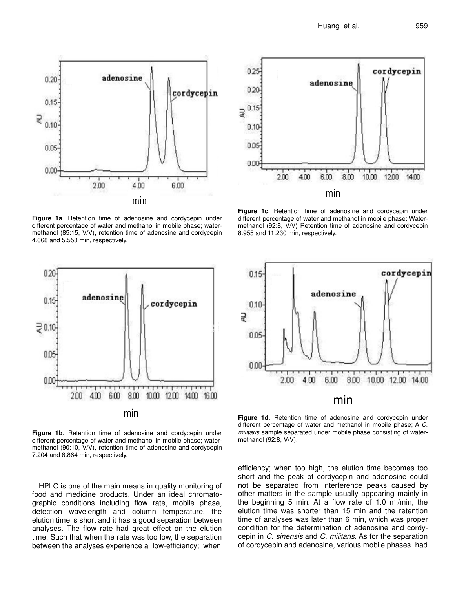

**Figure 1a**. Retention time of adenosine and cordycepin under different percentage of water and methanol in mobile phase; watermethanol (85:15, V/V), retention time of adenosine and cordycepin 4.668 and 5.553 min, respectively.



**Figure 1b**. Retention time of adenosine and cordycepin under different percentage of water and methanol in mobile phase; watermethanol (90:10, V/V), retention time of adenosine and cordycepin 7.204 and 8.864 min, respectively.

HPLC is one of the main means in quality monitoring of food and medicine products. Under an ideal chromatographic conditions including flow rate, mobile phase, detection wavelength and column temperature, the elution time is short and it has a good separation between analyses. The flow rate had great effect on the elution time. Such that when the rate was too low, the separation between the analyses experience a low-efficiency; when



**Figure 1c**. Retention time of adenosine and cordycepin under different percentage of water and methanol in mobile phase; Watermethanol (92:8, V/V) Retention time of adenosine and cordycepin 8.955 and 11.230 min, respectively.



**Figure 1d.** Retention time of adenosine and cordycepin under different percentage of water and methanol in mobile phase; A *C. militaris* sample separated under mobile phase consisting of watermethanol (92:8, V/V).

efficiency; when too high, the elution time becomes too short and the peak of cordycepin and adenosine could not be separated from interference peaks caused by other matters in the sample usually appearing mainly in the beginning 5 min. At a flow rate of 1.0 ml/min, the elution time was shorter than 15 min and the retention time of analyses was later than 6 min, which was proper condition for the determination of adenosine and cordycepin in *C. sinensis* and *C. militaris.* As for the separation of cordycepin and adenosine, various mobile phases had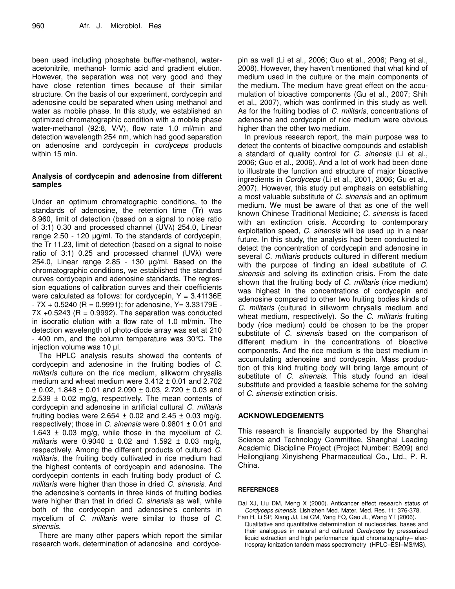been used including phosphate buffer-methanol, wateracetonitrile, methanol- formic acid and gradient elution. However, the separation was not very good and they have close retention times because of their similar structure. On the basis of our experiment, cordycepin and adenosine could be separated when using methanol and water as mobile phase. In this study, we established an optimized chromatographic condition with a mobile phase water-methanol (92:8, V/V), flow rate 1.0 ml/min and detection wavelength 254 nm, which had good separation on adenosine and cordycepin in *cordyceps* products within 15 min.

# **Analysis of cordycepin and adenosine from different samples**

Under an optimum chromatographic conditions, to the standards of adenosine, the retention time (Tr) was 8.960, limit of detection (based on a signal to noise ratio of 3:1) 0.30 and processed channel (UVA) 254.0, Linear range 2.50 - 120 µg/ml. To the standards of cordycepin, the Tr 11.23, limit of detection (based on a signal to noise ratio of 3:1) 0.25 and processed channel (UVA) were 254.0, Linear range 2.85 - 130  $\mu$ g/ml. Based on the chromatographic conditions, we established the standard curves cordycepin and adenosine standards. The regression equations of calibration curves and their coefficients were calculated as follows: for cordycepin,  $Y = 3.41136E$  $-7X + 0.5240$  (R = 0.9991); for adenosine, Y = 3.33179E - $7X + 0.5243$  (R = 0.9992). The separation was conducted in isocratic elution with a flow rate of 1.0 ml/min. The detection wavelength of photo-diode array was set at 210 - 400 nm, and the column temperature was 30°C. The injection volume was 10 µl.

The HPLC analysis results showed the contents of cordycepin and adenosine in the fruiting bodies of *C. militaris* culture on the rice medium, silkworm chrysalis medium and wheat medium were  $3.412 \pm 0.01$  and 2.702  $\pm$  0.02, 1.848  $\pm$  0.01 and 2.090  $\pm$  0.03, 2.720  $\pm$  0.03 and 2.539  $\pm$  0.02 mg/g, respectively. The mean contents of cordycepin and adenosine in artificial cultural *C. militaris* fruiting bodies were 2.654  $\pm$  0.02 and 2.45  $\pm$  0.03 mg/g, respectively; those in *C. sinensis* were 0.9801 ± 0.01 and 1.643 ± 0.03 mg/g, while those in the mycelium of *C. militaris* were 0.9040 ± 0.02 and 1.592 ± 0.03 mg/g, respectively. Among the different products of cultured *C. militaris*, the fruiting body cultivated in rice medium had the highest contents of cordycepin and adenosine. The cordycepin contents in each fruiting body product of *C. militaris* were higher than those in dried *C. sinensis*. And the adenosine's contents in three kinds of fruiting bodies were higher than that in dried *C. sinensis* as well, while both of the cordycepin and adenosine's contents in mycelium of *C. militaris* were similar to those of *C. sinensis*.

There are many other papers which report the similar research work, determination of adenosine and cordycepin as well (Li et al., 2006; Guo et al., 2006; Peng et al., 2008). However, they haven't mentioned that what kind of medium used in the culture or the main components of the medium. The medium have great effect on the accumulation of bioactive components (Gu et al., 2007; Shih et al., 2007), which was confirmed in this study as well. As for the fruiting bodies of *C. militaris*, concentrations of adenosine and cordycepin of rice medium were obvious higher than the other two medium.

In previous research report, the main purpose was to detect the contents of bioactive compounds and establish a standard of quality control for *C. sinensis* (Li et al., 2006; Guo et al., 2006). And a lot of work had been done to illustrate the function and structure of major bioactive ingredients in *Cordyceps* (Li et al., 2001, 2006; Gu et al., 2007). However, this study put emphasis on establishing a most valuable substitute of *C. sinensis* and an optimum medium. We must be aware of that as one of the well known Chinese Traditional Medicine; *C. sinensis* is faced with an extinction crisis. According to contemporary exploitation speed, *C. sinensis* will be used up in a near future. In this study, the analysis had been conducted to detect the concentration of cordycepin and adenosine in several *C. militaris* products cultured in different medium with the purpose of finding an ideal substitute of *C. sinensis* and solving its extinction crisis. From the date shown that the fruiting body of *C. militaris* (rice medium) was highest in the concentrations of cordycepin and adenosine compared to other two fruiting bodies kinds of *C. militaris* (cultured in silkworm chrysalis medium and wheat medium, respectively). So the *C. militaris* fruiting body (rice medium) could be chosen to be the proper substitute of *C. sinensis* based on the comparison of different medium in the concentrations of bioactive components. And the rice medium is the best medium in accumulating adenosine and cordycepin. Mass production of this kind fruiting body will bring large amount of substitute of *C. sinensis.* This study found an ideal substitute and provided a feasible scheme for the solving of *C. sinensis* extinction crisis.

## **ACKNOWLEDGEMENTS**

This research is financially supported by the Shanghai Science and Technology Committee, Shanghai Leading Academic Discipline Project (Project Number: B209) and Heilongjiang Xinyisheng Pharmaceutical Co., Ltd., P. R. China.

### **REFERENCES**

Dai XJ, Liu DM, Meng X (2000). Anticancer effect research status of *Cordyceps sinensis*. Lishizhen Med. Mater. Med. Res. 11: 376-378.

Fan H, Li SP, Xiang JJ, Lai CM, Yang FQ, Gao JL, Wang YT (2006). Qualitative and quantitative determination of nucleosides, bases and their analogues in natural and cultured *Cordyceps* by pressurized liquid extraction and high performance liquid chromatography– electrospray ionization tandem mass spectrometry (HPLC–ESI–MS/MS).